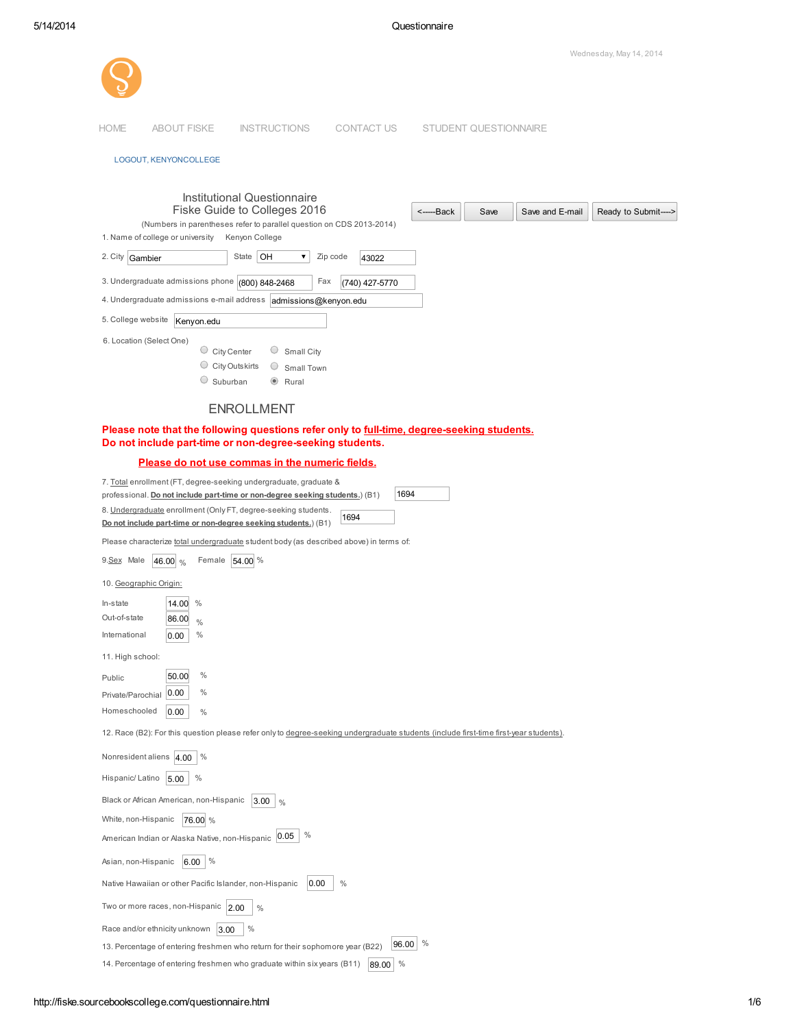| Wednesday, May 14, 2014                                                                                                                                                                              |
|------------------------------------------------------------------------------------------------------------------------------------------------------------------------------------------------------|
|                                                                                                                                                                                                      |
| <b>HOME</b><br><b>ABOUT FISKE</b><br><b>INSTRUCTIONS</b><br><b>CONTACT US</b><br>STUDENT QUESTIONNAIRE                                                                                               |
| LOGOUT, KENYONCOLLEGE                                                                                                                                                                                |
|                                                                                                                                                                                                      |
| Institutional Questionnaire<br>Fiske Guide to Colleges 2016<br><------Back<br>Save<br>Save and E-mail<br>Ready to Submit----<br>(Numbers in parentheses refer to parallel question on CDS 2013-2014) |
| Kenyon College<br>1. Name of college or university<br>State $ OH$<br>Zip code<br>2. City Gambier<br>▼                                                                                                |
| 43022                                                                                                                                                                                                |
| 3. Undergraduate admissions phone (800) 848-2468<br>Fax<br>(740) 427-5770<br>4. Undergraduate admissions e-mail address admissions@kenyon.edu                                                        |
| 5. College website<br>Kenyon.edu                                                                                                                                                                     |
| 6. Location (Select One)                                                                                                                                                                             |
| $\circ$ City Center<br>Small City                                                                                                                                                                    |
| $\circ$ City Outskirts<br>O<br>Small Town<br>Suburban<br>$\circledcirc$                                                                                                                              |
| Rural                                                                                                                                                                                                |
| <b>ENROLLMENT</b>                                                                                                                                                                                    |
| Please note that the following questions refer only to full-time, degree-seeking students.<br>Do not include part-time or non-degree-seeking students.                                               |
| Please do not use commas in the numeric fields.                                                                                                                                                      |
| 7. Total enrollment (FT, degree-seeking undergraduate, graduate &                                                                                                                                    |
| 1694<br>professional. Do not include part-time or non-degree seeking students.) (B1)                                                                                                                 |
| 8. Undergraduate enrollment (Only FT, degree-seeking students.<br>1694<br>Do not include part-time or non-degree seeking students.) (B1)                                                             |
| Please characterize total undergraduate student body (as described above) in terms of:                                                                                                               |
| 9.Sex Male<br>Female 54.00 %<br>46.00 %                                                                                                                                                              |
| 10. Geographic Origin:                                                                                                                                                                               |
| $\frac{0}{0}$<br>In-state<br>14.00                                                                                                                                                                   |
| Out-of-state<br>86.00<br>$\frac{0}{0}$                                                                                                                                                               |
| $\%$<br>International<br>0.00                                                                                                                                                                        |
| 11. High school:                                                                                                                                                                                     |
| $\%$<br>50.00<br>Public                                                                                                                                                                              |
| $\%$<br>0.00<br>Private/Parochial                                                                                                                                                                    |
| Homeschooled<br>0.00<br>$\%$                                                                                                                                                                         |
| 12. Race (B2): For this question please refer only to degree-seeking undergraduate students (include first-time first-year students).                                                                |
| Nonresident aliens 4.00<br>$\%$                                                                                                                                                                      |
| $\%$<br>Hispanic/Latino<br>5.00                                                                                                                                                                      |
| Black or African American, non-Hispanic<br>$3.00 \mid \frac{9}{6}$                                                                                                                                   |
| White, non-Hispanic<br>76.00 %                                                                                                                                                                       |
| $\%$<br>American Indian or Alaska Native, non-Hispanic 0.05                                                                                                                                          |
| $\%$<br>Asian, non-Hispanic<br>6.00                                                                                                                                                                  |
| $\%$<br>Native Hawaiian or other Pacific Islander, non-Hispanic<br>0.00                                                                                                                              |
| Two or more races, non-Hispanic $ 2.00$<br>$\%$                                                                                                                                                      |

13. Percentage of entering freshmen who return for their sophomore year (B22)  $\left[96.00\right]$  %

14. Percentage of entering freshmen who graduate within six years (B11)  $\,$  89.00  $\,$  %

Race and/or ethnicity unknown  $\left|3.00\right|$  %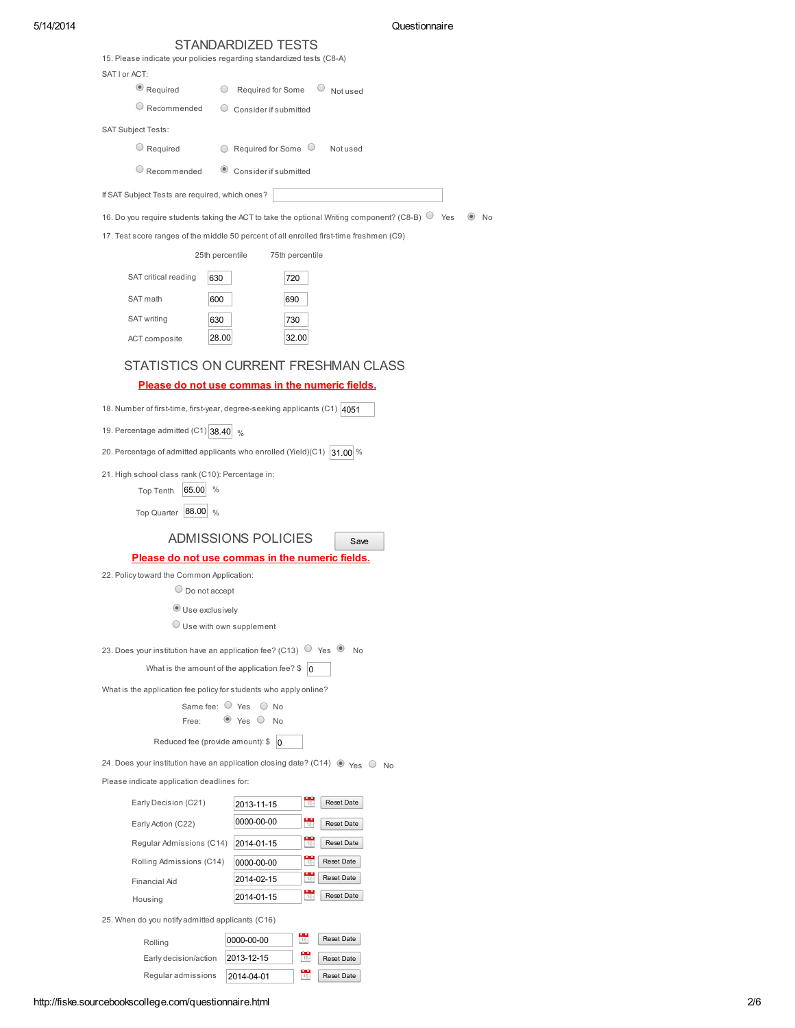|  | 5/14/2014 |  |
|--|-----------|--|
|--|-----------|--|

## Questionnaire

|                                                                       | STANDARDIZED TESTS                                                                                                           |
|-----------------------------------------------------------------------|------------------------------------------------------------------------------------------------------------------------------|
| 15. Please indicate your policies regarding standardized tests (C8-A) |                                                                                                                              |
| SAT I or ACT:                                                         |                                                                                                                              |
| $\bullet$ Required                                                    | Required for Some<br>Not used                                                                                                |
| $\circ$ Recommended                                                   | Consider if submitted                                                                                                        |
| <b>SAT Subject Tests:</b>                                             |                                                                                                                              |
| $\cup$ Required                                                       | $\circ$ Required for Some $\circ$<br>Not used                                                                                |
| $\circ$ Recommended                                                   | Consider if submitted                                                                                                        |
| If SAT Subject Tests are required, which ones?                        |                                                                                                                              |
|                                                                       | 16. Do you require students taking the ACT to take the optional Writing component? (C8-B) $\circledcirc$ Yes<br>$\bullet$ No |
|                                                                       | 17. Test score ranges of the middle 50 percent of all enrolled first-time freshmen (C9)                                      |
| 25th percentile                                                       | 75th percentile                                                                                                              |
| SAT critical reading<br>630                                           | 720                                                                                                                          |
| SAT math<br>600                                                       | 690                                                                                                                          |
| SAT writing<br>630                                                    | 730                                                                                                                          |
| 28.00<br>ACT composite                                                | 32.00                                                                                                                        |
|                                                                       |                                                                                                                              |
|                                                                       | STATISTICS ON CURRENT FRESHMAN CLASS                                                                                         |
|                                                                       | Please do not use commas in the numeric fields.                                                                              |
|                                                                       | 18. Number of first-time, first-year, degree-seeking applicants (C1) 4051                                                    |
| 19. Percentage admitted $(C1)$ 38.40 $\frac{1}{26}$                   |                                                                                                                              |
|                                                                       | 20. Percentage of admitted applicants who enrolled (Yield)(C1) $ 31.00 \%$                                                   |
| 21. High school class rank (C10): Percentage in:                      |                                                                                                                              |
| $\%$<br>65.00<br>Top Tenth                                            |                                                                                                                              |
| Top Quarter   88.00   %                                               |                                                                                                                              |
|                                                                       | <b>ADMISSIONS POLICIES</b><br>Save                                                                                           |
|                                                                       | Please do not use commas in the numeric fields.                                                                              |
| 22. Policy toward the Common Application:                             |                                                                                                                              |
| $\circ$ Do not accept                                                 |                                                                                                                              |
| Use exclusively                                                       |                                                                                                                              |
|                                                                       | Use with own supplement                                                                                                      |
|                                                                       | 23. Does your institution have an application fee? (C13) $\circ$ Yes $\bullet$ No                                            |
|                                                                       | What is the amount of the application fee? $\frac{1}{9}$ 0                                                                   |
| What is the application fee policy for students who apply online?     |                                                                                                                              |
|                                                                       | Same fee: $\bigcirc$ Yes $\bigcirc$ No                                                                                       |
| Free:                                                                 | $\bullet$ Yes $\circ$ No                                                                                                     |
| Reduced fee (provide amount): $\frac{1}{9}$   0                       |                                                                                                                              |
|                                                                       | 24. Does your institution have an application closing date? (C14) $\bullet$ Yes $\circ$ No                                   |
| Please indicate application deadlines for:                            |                                                                                                                              |
| Early Decision (C21)                                                  | 豐<br>Reset Date<br>2013-11-15                                                                                                |
| Early Action (C22)                                                    | $\frac{1}{16}$<br>0000-00-00<br>Reset Date                                                                                   |
| Regular Admissions (C14)                                              | ÷,<br>Reset Date<br>2014-01-15                                                                                               |
| Rolling Admissions (C14)                                              | 쁛<br>Reset Date<br>0000-00-00                                                                                                |
| Financial Aid                                                         | $\frac{17}{17}$<br>Reset Date<br>2014-02-15                                                                                  |
| Housing                                                               | 쁛<br>Reset Date<br>2014-01-15                                                                                                |
| 25. When do you notify admitted applicants (C16)                      |                                                                                                                              |
| Rolling                                                               | $\frac{1}{12}$<br>Reset Date<br>0000-00-00                                                                                   |
| Early decision/action                                                 | ₩<br>2013-12-15<br>Reset Date                                                                                                |
| Regular admissions                                                    | ÷<br>Reset Date<br>2014-04-01                                                                                                |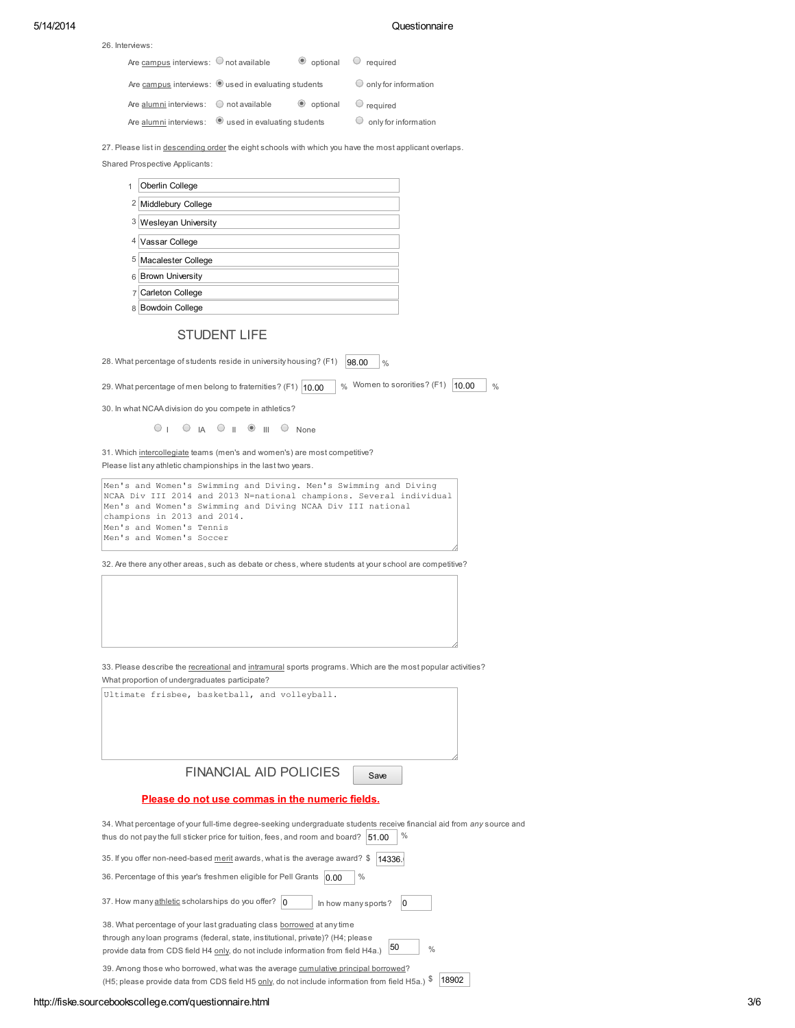### 5/14/2014 Questionnaire

| Are campus interviews: $\bigcirc$ not available              | $\bullet$ optional $\circ$ required |                                 |
|--------------------------------------------------------------|-------------------------------------|---------------------------------|
| Are campus interviews: Oused in evaluating students          |                                     | $\bigcirc$ only for information |
| Are alumni interviews: $\bigcirc$ not available              | $\bullet$ optional $\circ$ required |                                 |
| Are alumni interviews: $\bullet$ used in evaluating students |                                     | $\circ$ only for information    |

27. Please list in descending order the eight schools with which you have the most applicant overlaps.

Shared Prospective Applicants:

26. Interviews:

| 1 | Oberlin College         |
|---|-------------------------|
| 2 | Middlebury College      |
|   | 3 Wesleyan University   |
| 4 | Vassar College          |
| 5 | Macalester College      |
| 6 | <b>Brown University</b> |
|   | Carleton College        |

8 Bowdoin College

# STUDENT LIFE

28. What percentage of students reside in university housing? (F1)  $\left|98.00\right\rangle$   $\left|% \right\rangle$ 

29. What percentage of men belong to fraternities? (F1)  $\boxed{10.00}$  % Women to sororities? (F1)  $\boxed{10.00}$  %

30. In what NCAA division do you compete in athletics?

I UIA UII OIII UNone

31. Which intercollegiate teams (men's and women's) are most competitive? Please list any athletic championships in the last two years.

Men's and Women's Swimming and Diving. Men's Swimming and Diving NCAA Div III 2014 and 2013 N=national champions. Several individual Men's and Women's Swimming and Diving NCAA Div III national champions in 2013 and 2014. Men's and Women's Tennis Men's and Women's Soccer

32. Are there any other areas, such as debate or chess, where students at your school are competitive?

33. Please describe the recreational and intramural sports programs. Which are the most popular activities? What proportion of undergraduates participate?

| Ultimate frisbee, basketball, and volleyball.                                                                                                                                                                                                                        |
|----------------------------------------------------------------------------------------------------------------------------------------------------------------------------------------------------------------------------------------------------------------------|
| FINANCIAL AID POLICIES<br>Save                                                                                                                                                                                                                                       |
| Please do not use commas in the numeric fields.                                                                                                                                                                                                                      |
| 34. What percentage of your full-time degree-seeking undergraduate students receive financial aid from any source and<br>$\%$<br>thus do not pay the full sticker price for tuition, fees, and room and board? 51.00                                                 |
| 35. If you offer non-need-based merit awards, what is the average award? \$<br>14336.                                                                                                                                                                                |
| 36. Percentage of this year's freshmen eligible for Pell Grants<br>$\%$<br>0.00                                                                                                                                                                                      |
| 37. How many athletic scholarships do you offer? 0<br>In how many sports?<br>$\Omega$                                                                                                                                                                                |
| 38. What percentage of your last graduating class borrowed at any time<br>through any loan programs (federal, state, institutional, private)? (H4; please<br>50<br>$\frac{0}{0}$<br>provide data from CDS field H4 only, do not include information from field H4a.) |
| 39. Among those who borrowed, what was the average cumulative principal borrowed?                                                                                                                                                                                    |

(H5; please provide data from CDS field H5 only, do not include information from field H5a.)  $\frac{18902}{18902}$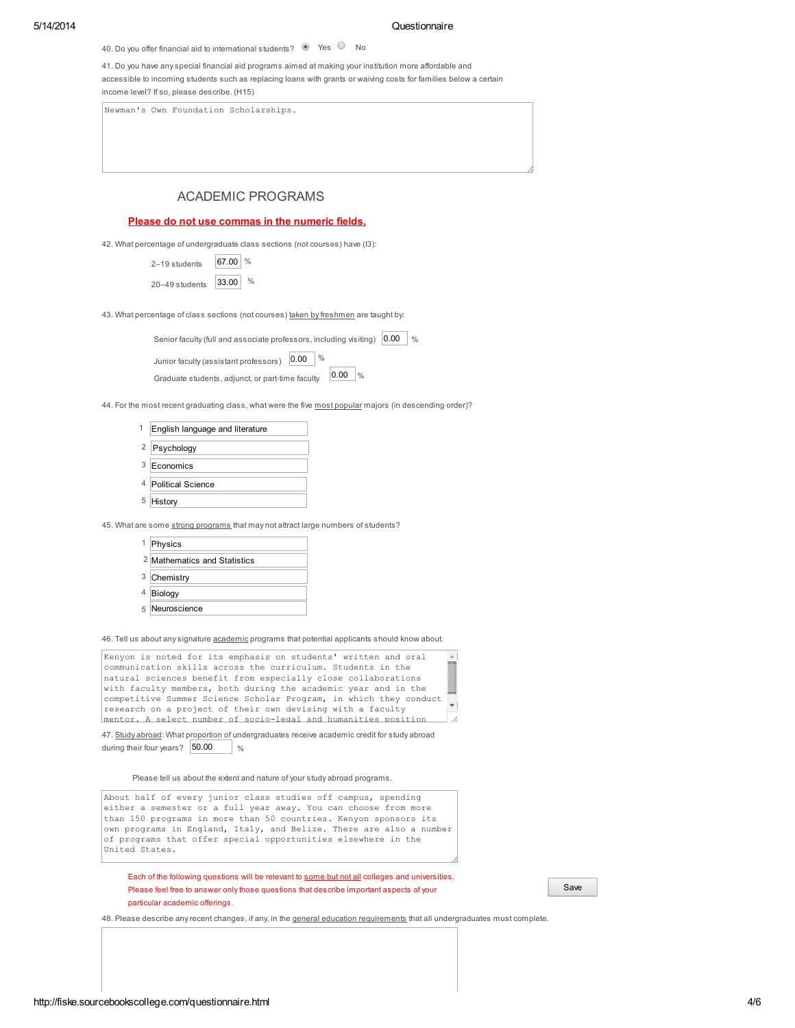40. Do you offer financial aid to international students?  $\bullet$  Yes  $\circ$  No

41. Do you have any special financial aid programs aimed at making your institution more affordable and accessible to incoming students such as replacing loans with grants or waiving costs for families below a certain income level? If so, please describe. (H15)

Newman's Own Foundation Scholarships.

# ACADEMIC PROGRAMS

Please do not use commas in the numeric fields.

42. What percentage of undergraduate class sections (not courses) have (I3):

| 2-19 students  | 67.00 % |               |
|----------------|---------|---------------|
| 20-49 students | 33.00   | $\frac{0}{0}$ |

43. What percentage of class sections (not courses) taken by freshmen are taught by:

| Senior faculty (full and associate professors, including visiting) |      |               |             | 0.00 | $\frac{0}{0}$ |
|--------------------------------------------------------------------|------|---------------|-------------|------|---------------|
| Junior faculty (assistant professors)                              | 0.00 | $\frac{0}{0}$ |             |      |               |
| Graduate students, adjunct, or part-time faculty                   |      |               | 0.00<br>0/2 |      |               |

44. For the most recent graduating class, what were the five most popular majors (in descending order)?

÷.  $\overline{a}$ 

|   | English language and literature |
|---|---------------------------------|
|   | <sup>2</sup> Psychology         |
|   | 3 Economics                     |
|   | 4 Political Science             |
| 5 | History                         |
|   |                                 |

45. What are some strong programs that may not attract large numbers of students?

| 1 Physics                               |
|-----------------------------------------|
| <sup>2</sup> Mathematics and Statistics |
| 3 Chemistry                             |
| 4 Biology                               |
| 5 Neuroscience                          |
|                                         |

46. Tell us about any signature academic programs that potential applicants should know about.

| Kenyon is noted for its emphasis on students' written and oral    | $\Delta$ |
|-------------------------------------------------------------------|----------|
| communication skills across the curriculum. Students in the       |          |
| natural sciences benefit from especially close collaborations     |          |
| with faculty members, both during the academic year and in the    |          |
| competitive Summer Science Scholar Program, in which they conduct |          |
| research on a project of their own devising with a faculty        |          |
| mentor. A select number of socio-legal and humanities position    |          |

47. Study abroad: What proportion of undergraduates receive academic credit for study abroad during their four years? 50.00  $\%$ 

Please tell us about the extent and nature of your study abroad programs.

About half of every junior class studies off campus, spending either a semester or a full year away. You can choose from more than 150 programs in more than 50 countries. Kenyon sponsors its own programs in England, Italy, and Belize. There are also a number of programs that offer special opportunities elsewhere in the United States.

Each of the following questions will be relevant to some but not all colleges and universities Please feel free to answer only those questions that describe important aspects of your particular academic offerings.

48. Please describe any recent changes, if any, in the **general education requirements** that all undergraduates must complete.

Save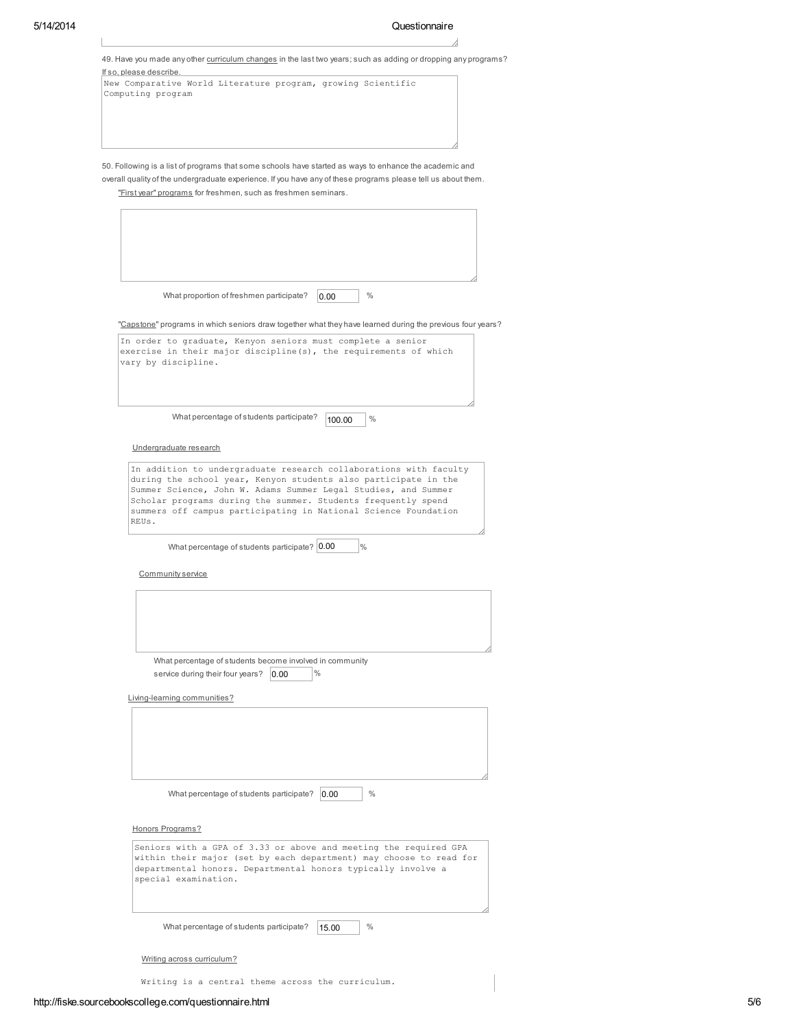J.

|                         | 49. Have you made any other curriculum changes in the last two years; such as adding or dropping any programs?                                                                                                                                                                                                                             |
|-------------------------|--------------------------------------------------------------------------------------------------------------------------------------------------------------------------------------------------------------------------------------------------------------------------------------------------------------------------------------------|
| If so, please describe. | New Comparative World Literature program, growing Scientific<br>Computing program                                                                                                                                                                                                                                                          |
|                         |                                                                                                                                                                                                                                                                                                                                            |
|                         |                                                                                                                                                                                                                                                                                                                                            |
|                         | 50. Following is a list of programs that some schools have started as ways to enhance the academic and<br>overall quality of the undergraduate experience. If you have any of these programs please tell us about them.<br>"First year" programs for freshmen, such as freshmen seminars.                                                  |
|                         |                                                                                                                                                                                                                                                                                                                                            |
|                         |                                                                                                                                                                                                                                                                                                                                            |
|                         | What proportion of freshmen participate?<br>$\frac{0}{0}$<br>0.00                                                                                                                                                                                                                                                                          |
|                         | "Capstone" programs in which seniors draw together what they have learned during the previous four years?                                                                                                                                                                                                                                  |
|                         | In order to graduate, Kenyon seniors must complete a senior<br>exercise in their major discipline(s), the requirements of which<br>vary by discipline.                                                                                                                                                                                     |
|                         | What percentage of students participate?<br>$\%$<br>100.00                                                                                                                                                                                                                                                                                 |
|                         | Undergraduate research                                                                                                                                                                                                                                                                                                                     |
| REUS.                   | In addition to undergraduate research collaborations with faculty<br>during the school year, Kenyon students also participate in the<br>Summer Science, John W. Adams Summer Legal Studies, and Summer<br>Scholar programs during the summer. Students frequently spend<br>summers off campus participating in National Science Foundation |
|                         | What percentage of students participate? 0.00<br>$\%$                                                                                                                                                                                                                                                                                      |
|                         | Community service                                                                                                                                                                                                                                                                                                                          |
|                         |                                                                                                                                                                                                                                                                                                                                            |
|                         |                                                                                                                                                                                                                                                                                                                                            |
|                         | What percentage of students become involved in community<br>$\frac{0}{0}$<br>service during their four years?<br>0.00                                                                                                                                                                                                                      |
|                         | Living-learning communities?                                                                                                                                                                                                                                                                                                               |
|                         |                                                                                                                                                                                                                                                                                                                                            |
|                         | $\frac{0}{0}$<br>What percentage of students participate?<br>0.00                                                                                                                                                                                                                                                                          |
|                         | Honors Programs?                                                                                                                                                                                                                                                                                                                           |
|                         | Seniors with a GPA of 3.33 or above and meeting the required GPA<br>within their major (set by each department) may choose to read for<br>departmental honors. Departmental honors typically involve a<br>special examination.                                                                                                             |
|                         | %<br>What percentage of students participate?<br>15.00                                                                                                                                                                                                                                                                                     |
|                         | Writing across curriculum?                                                                                                                                                                                                                                                                                                                 |

Writing is a central theme across the curriculum.